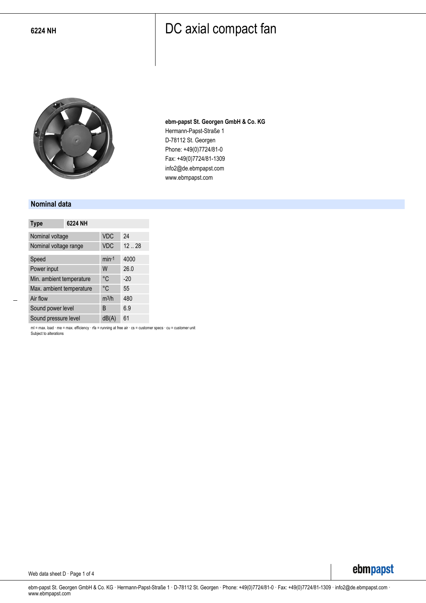

**ebm-papst St. Georgen GmbH & Co. KG** Hermann-Papst-Straße 1 D-78112 St. Georgen Phone: +49(0)7724/81-0 Fax: +49(0)7724/81-1309 info2@de.ebmpapst.com www.ebmpapst.com

#### **Nominal data**

| <b>Type</b>              | 6224 NH |            |       |
|--------------------------|---------|------------|-------|
| Nominal voltage          |         | <b>VDC</b> | 24    |
| Nominal voltage range    |         | <b>VDC</b> | 1228  |
| Speed                    |         | $min-1$    | 4000  |
| Power input              |         | W          | 26.0  |
| Min. ambient temperature |         | °C         | $-20$ |
| Max. ambient temperature |         | °C         | 55    |
| Air flow                 |         | $m^3/h$    | 480   |
| Sound power level        |         | B          | 6.9   |
| Sound pressure level     |         | dB(A)      | 61    |

ml = max. load · me = max. efficiency · rfa = running at free air · cs = customer specs · cu = customer unit Subject to alterations

Web data sheet D · Page 1 of 4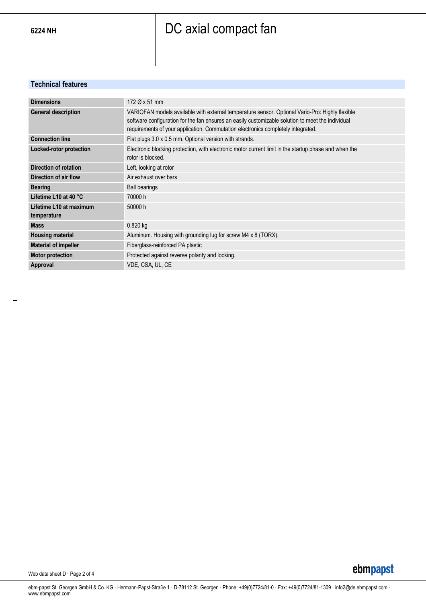#### **Technical features**

| <b>Dimensions</b>                      | 172 Ø x 51 mm                                                                                                                                                                                                                                                                            |
|----------------------------------------|------------------------------------------------------------------------------------------------------------------------------------------------------------------------------------------------------------------------------------------------------------------------------------------|
| <b>General description</b>             | VARIOFAN models available with external temperature sensor. Optional Vario-Pro: Highly flexible<br>software configuration for the fan ensures an easily customizable solution to meet the individual<br>requirements of your application. Commutation electronics completely integrated. |
| <b>Connection line</b>                 | Flat plugs 3.0 x 0.5 mm. Optional version with strands.                                                                                                                                                                                                                                  |
| Locked-rotor protection                | Electronic blocking protection, with electronic motor current limit in the startup phase and when the<br>rotor is blocked.                                                                                                                                                               |
| Direction of rotation                  | Left, looking at rotor                                                                                                                                                                                                                                                                   |
| Direction of air flow                  | Air exhaust over bars                                                                                                                                                                                                                                                                    |
| <b>Bearing</b>                         | <b>Ball bearings</b>                                                                                                                                                                                                                                                                     |
| Lifetime L10 at 40 °C                  | 70000 h                                                                                                                                                                                                                                                                                  |
| Lifetime L10 at maximum<br>temperature | 50000 h                                                                                                                                                                                                                                                                                  |
| <b>Mass</b>                            | 0.820 kg                                                                                                                                                                                                                                                                                 |
| <b>Housing material</b>                | Aluminum. Housing with grounding lug for screw M4 x 8 (TORX).                                                                                                                                                                                                                            |
| <b>Material of impeller</b>            | Fiberglass-reinforced PA plastic                                                                                                                                                                                                                                                         |
| <b>Motor protection</b>                | Protected against reverse polarity and locking.                                                                                                                                                                                                                                          |
| Approval                               | VDE, CSA, UL, CE                                                                                                                                                                                                                                                                         |

Web data sheet D · Page 2 of 4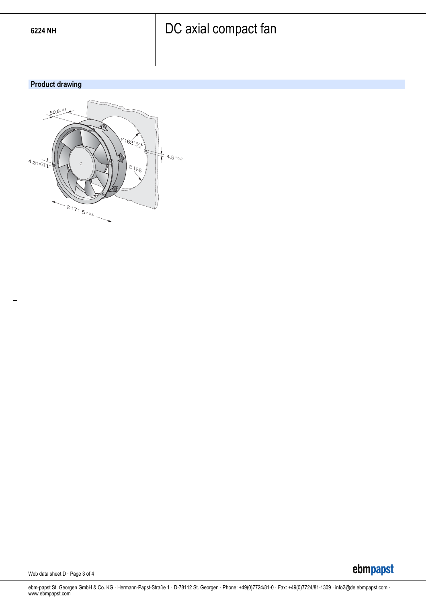### **Product drawing**



Web data sheet D · Page 3 of 4